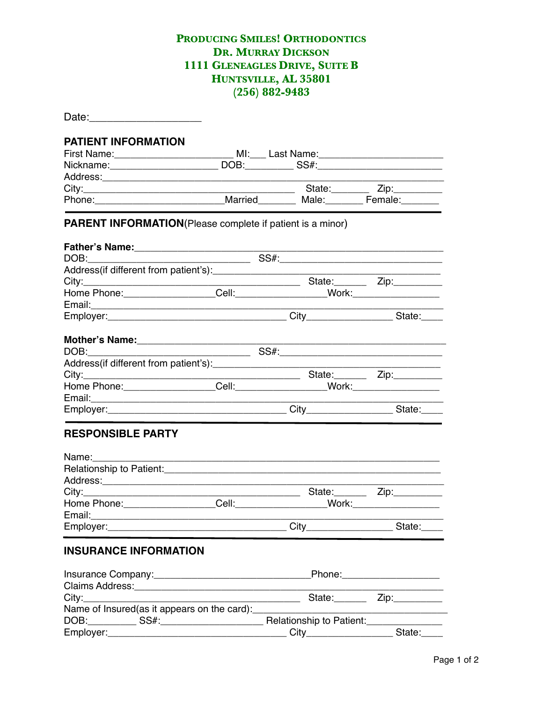## PRODUCING SMILES! ORTHODONTICS **DR. MURRAY DICKSON** 1111 GLENEAGLES DRIVE, SUITE B HUNTSVILLE, AL 35801  $(256) 882 - 9483$

| <b>PATIENT INFORMATION</b><br>First Name: __________________________________ MI:____ Last Name: __________________________________                                                                                            |                                                          |                                         |
|-------------------------------------------------------------------------------------------------------------------------------------------------------------------------------------------------------------------------------|----------------------------------------------------------|-----------------------------------------|
|                                                                                                                                                                                                                               |                                                          |                                         |
|                                                                                                                                                                                                                               |                                                          |                                         |
| Phone:_______________________________Married___________Male:__________Female:_________                                                                                                                                        |                                                          |                                         |
| PARENT INFORMATION(Please complete if patient is a minor)                                                                                                                                                                     |                                                          |                                         |
|                                                                                                                                                                                                                               |                                                          |                                         |
|                                                                                                                                                                                                                               |                                                          |                                         |
|                                                                                                                                                                                                                               |                                                          |                                         |
|                                                                                                                                                                                                                               |                                                          |                                         |
| Home Phone: Cell: Cell: Work:                                                                                                                                                                                                 |                                                          |                                         |
|                                                                                                                                                                                                                               |                                                          |                                         |
|                                                                                                                                                                                                                               |                                                          |                                         |
|                                                                                                                                                                                                                               |                                                          |                                         |
|                                                                                                                                                                                                                               |                                                          |                                         |
|                                                                                                                                                                                                                               |                                                          |                                         |
|                                                                                                                                                                                                                               |                                                          |                                         |
|                                                                                                                                                                                                                               |                                                          |                                         |
|                                                                                                                                                                                                                               |                                                          |                                         |
|                                                                                                                                                                                                                               |                                                          |                                         |
|                                                                                                                                                                                                                               |                                                          |                                         |
| <b>RESPONSIBLE PARTY</b>                                                                                                                                                                                                      |                                                          |                                         |
| Name: Name: Name: Name: Name: Name: Name: Name: Name: Name: Name: Name: Name: Name: Name: Name: Name: Name: Name: Name: Name: Name: Name: Name: Name: Name: Name: Name: Name: Name: Name: Name: Name: Name: Name: Name: Name: |                                                          |                                         |
|                                                                                                                                                                                                                               |                                                          |                                         |
|                                                                                                                                                                                                                               |                                                          |                                         |
|                                                                                                                                                                                                                               |                                                          |                                         |
| Home Phone:                                                                                                                                                                                                                   | Cell:_                                                   | _Work:______________                    |
|                                                                                                                                                                                                                               |                                                          |                                         |
|                                                                                                                                                                                                                               |                                                          |                                         |
| <b>INSURANCE INFORMATION</b>                                                                                                                                                                                                  |                                                          |                                         |
|                                                                                                                                                                                                                               |                                                          |                                         |
|                                                                                                                                                                                                                               |                                                          |                                         |
|                                                                                                                                                                                                                               |                                                          | State: Zip:                             |
| Name of Insured(as it appears on the card):                                                                                                                                                                                   | <u> 1989 - Johann Barn, mars and de Brasilian (b. 19</u> |                                         |
|                                                                                                                                                                                                                               |                                                          | <u> 1989 - Andrea Station Barbara (</u> |
| DOB: SS#: SS#: Relationship to Patient:                                                                                                                                                                                       |                                                          | City_______________________State:_____  |
|                                                                                                                                                                                                                               |                                                          |                                         |